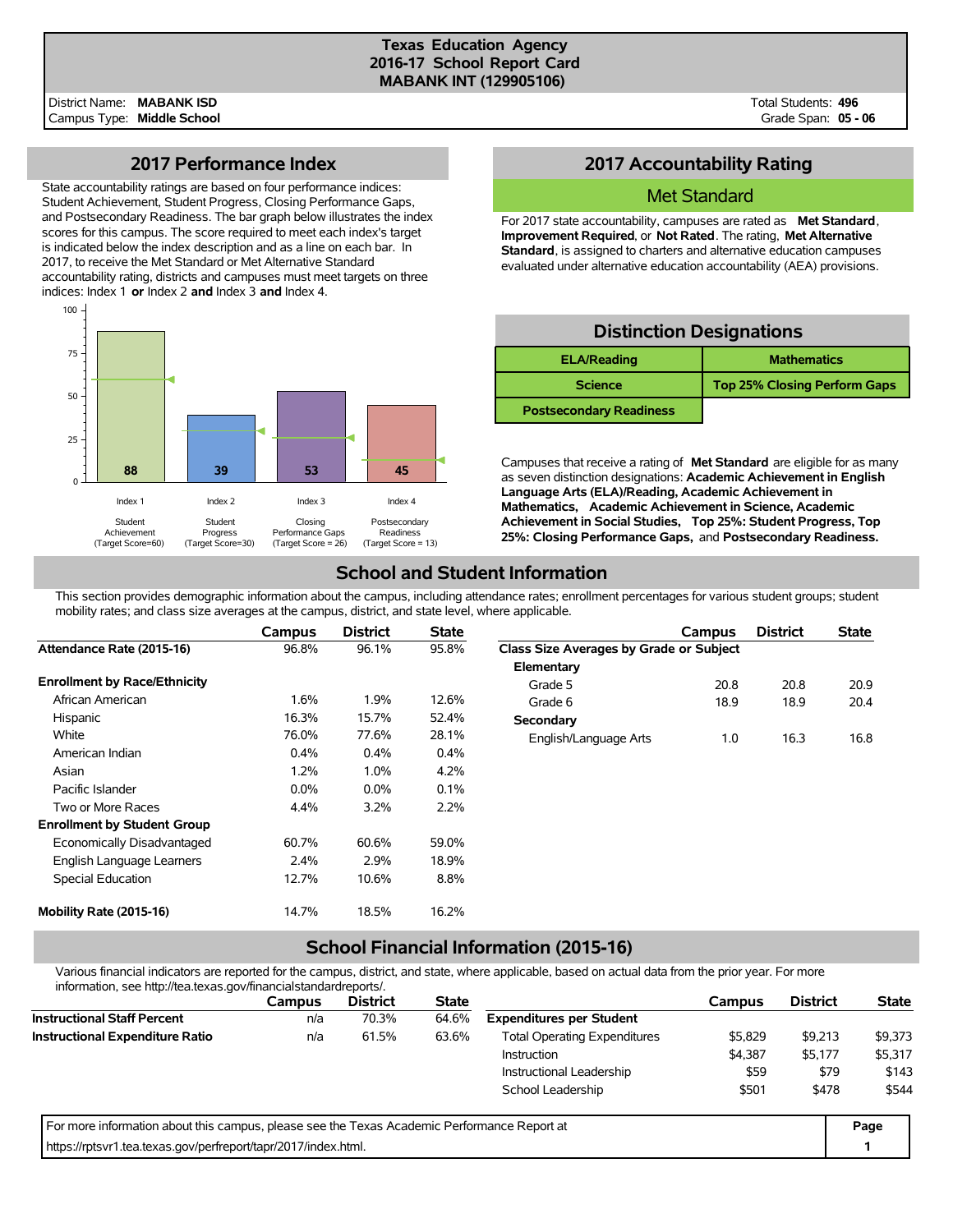#### **Texas Education Agency 2016-17 School Report Card MABANK INT (129905106)**

Total Students: **496** Grade Span: **05 - 06**

## **2017 Performance Index**

State accountability ratings are based on four performance indices: Student Achievement, Student Progress, Closing Performance Gaps, and Postsecondary Readiness. The bar graph below illustrates the index scores for this campus. The score required to meet each index's target is indicated below the index description and as a line on each bar. In 2017, to receive the Met Standard or Met Alternative Standard accountability rating, districts and campuses must meet targets on three indices: Index 1 **or** Index 2 **and** Index 3 **and** Index 4.



## **2017 Accountability Rating**

### Met Standard

For 2017 state accountability, campuses are rated as **Met Standard**, **Improvement Required**, or **Not Rated**. The rating, **Met Alternative Standard**, is assigned to charters and alternative education campuses evaluated under alternative education accountability (AEA) provisions.

## **Distinction Designations**

| <b>ELA/Reading</b>             | <b>Mathematics</b>                  |
|--------------------------------|-------------------------------------|
| <b>Science</b>                 | <b>Top 25% Closing Perform Gaps</b> |
| <b>Postsecondary Readiness</b> |                                     |

Campuses that receive a rating of **Met Standard** are eligible for as many as seven distinction designations: **Academic Achievement in English Language Arts (ELA)/Reading, Academic Achievement in Mathematics, Academic Achievement in Science, Academic Achievement in Social Studies, Top 25%: Student Progress, Top 25%: Closing Performance Gaps,** and **Postsecondary Readiness.**

## **School and Student Information**

This section provides demographic information about the campus, including attendance rates; enrollment percentages for various student groups; student mobility rates; and class size averages at the campus, district, and state level, where applicable.

|                                     | Campus  | <b>District</b> | <b>State</b> |                                         | Campus | <b>District</b> | <b>State</b> |
|-------------------------------------|---------|-----------------|--------------|-----------------------------------------|--------|-----------------|--------------|
| Attendance Rate (2015-16)           | 96.8%   | 96.1%           | 95.8%        | Class Size Averages by Grade or Subject |        |                 |              |
|                                     |         |                 |              | Elementary                              |        |                 |              |
| <b>Enrollment by Race/Ethnicity</b> |         |                 |              | Grade 5                                 | 20.8   | 20.8            | 20.9         |
| African American                    | 1.6%    | 1.9%            | 12.6%        | Grade 6                                 | 18.9   | 18.9            | 20.4         |
| Hispanic                            | 16.3%   | 15.7%           | 52.4%        | Secondary                               |        |                 |              |
| White                               | 76.0%   | 77.6%           | 28.1%        | English/Language Arts                   | 1.0    | 16.3            | 16.8         |
| American Indian                     | 0.4%    | 0.4%            | 0.4%         |                                         |        |                 |              |
| Asian                               | 1.2%    | 1.0%            | 4.2%         |                                         |        |                 |              |
| Pacific Islander                    | $0.0\%$ | $0.0\%$         | 0.1%         |                                         |        |                 |              |
| Two or More Races                   | 4.4%    | 3.2%            | 2.2%         |                                         |        |                 |              |
| <b>Enrollment by Student Group</b>  |         |                 |              |                                         |        |                 |              |
| Economically Disadvantaged          | 60.7%   | 60.6%           | 59.0%        |                                         |        |                 |              |
| English Language Learners           | 2.4%    | 2.9%            | 18.9%        |                                         |        |                 |              |
| Special Education                   | 12.7%   | 10.6%           | 8.8%         |                                         |        |                 |              |
| Mobility Rate (2015-16)             | 14.7%   | 18.5%           | 16.2%        |                                         |        |                 |              |

# **School Financial Information (2015-16)**

Various financial indicators are reported for the campus, district, and state, where applicable, based on actual data from the prior year. For more information, see http://tea.texas.gov/financialstandardreports/.

| <u> IIIOIIII auvit, see Hup.//tea.texas.gov/III ialiciaistalidaldiepoits/.</u>              |        |                 |              |                                     |         |                 |              |
|---------------------------------------------------------------------------------------------|--------|-----------------|--------------|-------------------------------------|---------|-----------------|--------------|
|                                                                                             | Campus | <b>District</b> | <b>State</b> |                                     | Campus  | <b>District</b> | <b>State</b> |
| <b>Instructional Staff Percent</b>                                                          | n/a    | 70.3%           | 64.6%        | <b>Expenditures per Student</b>     |         |                 |              |
| <b>Instructional Expenditure Ratio</b>                                                      | n/a    | 61.5%           | 63.6%        | <b>Total Operating Expenditures</b> | \$5,829 | \$9,213         | \$9,373      |
|                                                                                             |        |                 |              | <b>Instruction</b>                  | \$4,387 | \$5,177         | \$5,317      |
|                                                                                             |        |                 |              | Instructional Leadership            | \$59    | \$79            | \$143        |
|                                                                                             |        |                 |              | School Leadership                   | \$501   | \$478           | \$544        |
| For more information about this campus, please see the Texas Academic Performance Report at |        |                 |              |                                     |         |                 | Page         |
| https://rptsvr1.tea.texas.gov/perfreport/tapr/2017/index.html.                              |        |                 |              |                                     |         |                 |              |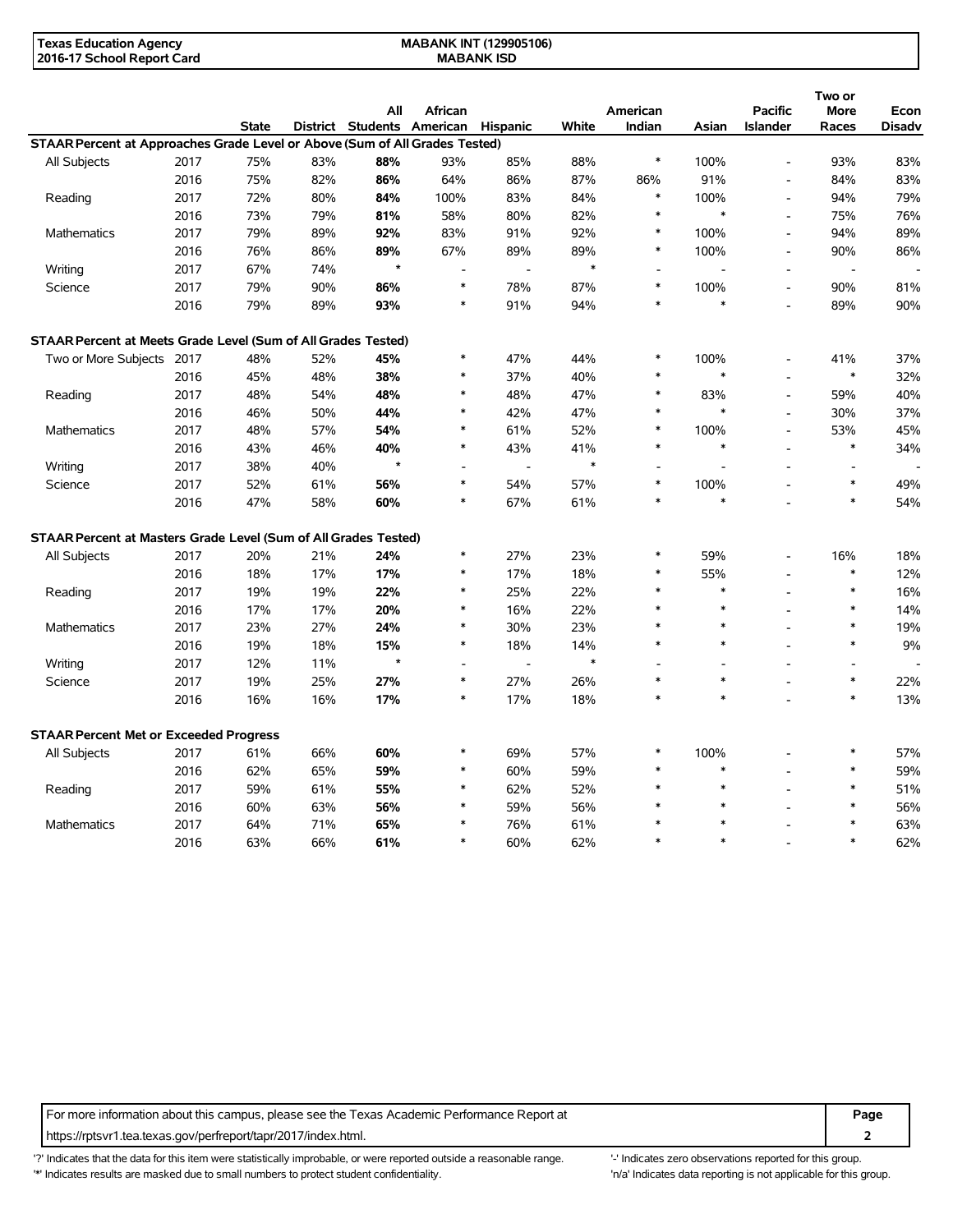| Texas Education Agency     | <b>MABANK INT (129905106)</b> |  |
|----------------------------|-------------------------------|--|
| 2016-17 School Report Card | <b>MABANK ISD</b>             |  |

|                                                                             |      |              |     |                                     |                |                |        |          |                          |                          | Two or         |               |
|-----------------------------------------------------------------------------|------|--------------|-----|-------------------------------------|----------------|----------------|--------|----------|--------------------------|--------------------------|----------------|---------------|
|                                                                             |      |              |     | All                                 | African        |                |        | American |                          | <b>Pacific</b>           | <b>More</b>    | Econ          |
|                                                                             |      | <b>State</b> |     | District Students American Hispanic |                |                | White  | Indian   | Asian                    | <b>Islander</b>          | Races          | <b>Disadv</b> |
| STAAR Percent at Approaches Grade Level or Above (Sum of All Grades Tested) |      |              |     |                                     |                |                |        |          |                          |                          |                |               |
| All Subjects                                                                | 2017 | 75%          | 83% | 88%                                 | 93%            | 85%            | 88%    | $\ast$   | 100%                     | $\blacksquare$           | 93%            | 83%           |
|                                                                             | 2016 | 75%          | 82% | 86%                                 | 64%            | 86%            | 87%    | 86%      | 91%                      | ÷,                       | 84%            | 83%           |
| Reading                                                                     | 2017 | 72%          | 80% | 84%                                 | 100%           | 83%            | 84%    | $\ast$   | 100%                     | $\overline{\phantom{a}}$ | 94%            | 79%           |
|                                                                             | 2016 | 73%          | 79% | 81%                                 | 58%            | 80%            | 82%    | $\ast$   | $\ast$                   | $\overline{\phantom{a}}$ | 75%            | 76%           |
| Mathematics                                                                 | 2017 | 79%          | 89% | 92%                                 | 83%            | 91%            | 92%    | $\ast$   | 100%                     | $\overline{a}$           | 94%            | 89%           |
|                                                                             | 2016 | 76%          | 86% | 89%                                 | 67%            | 89%            | 89%    | $\ast$   | 100%                     | $\overline{a}$           | 90%            | 86%           |
| Writing                                                                     | 2017 | 67%          | 74% | $\star$                             |                |                | $\ast$ |          |                          | $\overline{\phantom{a}}$ |                |               |
| Science                                                                     | 2017 | 79%          | 90% | 86%                                 | *              | 78%            | 87%    | $\ast$   | 100%                     | $\overline{\phantom{a}}$ | 90%            | 81%           |
|                                                                             | 2016 | 79%          | 89% | 93%                                 | $\ast$         | 91%            | 94%    | $\ast$   | $\ast$                   | $\overline{a}$           | 89%            | 90%           |
| STAAR Percent at Meets Grade Level (Sum of All Grades Tested)               |      |              |     |                                     |                |                |        |          |                          |                          |                |               |
| Two or More Subjects 2017                                                   |      | 48%          | 52% | 45%                                 | ∗              | 47%            | 44%    | $\ast$   | 100%                     | $\overline{a}$           | 41%            | 37%           |
|                                                                             | 2016 | 45%          | 48% | 38%                                 | $\ast$         | 37%            | 40%    | $\ast$   | $\ast$                   | $\overline{\phantom{a}}$ | $\ast$         | 32%           |
| Reading                                                                     | 2017 | 48%          | 54% | 48%                                 | $\ast$         | 48%            | 47%    | $\ast$   | 83%                      | $\blacksquare$           | 59%            | 40%           |
|                                                                             | 2016 | 46%          | 50% | 44%                                 | $\ast$         | 42%            | 47%    | $\ast$   | $\ast$                   | $\overline{a}$           | 30%            | 37%           |
| Mathematics                                                                 | 2017 | 48%          | 57% | 54%                                 | $\ast$         | 61%            | 52%    | $\ast$   | 100%                     | $\overline{\phantom{a}}$ | 53%            | 45%           |
|                                                                             | 2016 | 43%          | 46% | 40%                                 | $\ast$         | 43%            | 41%    | $\ast$   | $\ast$                   | $\overline{a}$           | $\ast$         | 34%           |
| Writing                                                                     | 2017 | 38%          | 40% | $\star$                             |                |                | $\ast$ |          |                          |                          |                |               |
| Science                                                                     | 2017 | 52%          | 61% | 56%                                 | $\ast$         | 54%            | 57%    | $\ast$   | 100%                     |                          | $\ast$         | 49%           |
|                                                                             | 2016 | 47%          | 58% | 60%                                 | $\ast$         | 67%            | 61%    | $\ast$   | $\ast$                   |                          | $\ast$         | 54%           |
|                                                                             |      |              |     |                                     |                |                |        |          |                          |                          |                |               |
| STAAR Percent at Masters Grade Level (Sum of All Grades Tested)             |      |              |     |                                     |                |                |        |          |                          |                          |                |               |
| All Subjects                                                                | 2017 | 20%          | 21% | 24%                                 | $\ast$         | 27%            | 23%    | *        | 59%                      |                          | 16%            | 18%           |
|                                                                             | 2016 | 18%          | 17% | 17%                                 | $\ast$         | 17%            | 18%    | $\ast$   | 55%                      | $\overline{a}$           | $\ast$         | 12%           |
| Reading                                                                     | 2017 | 19%          | 19% | 22%                                 | *              | 25%            | 22%    | $\ast$   | $\ast$                   | L,                       | $\ast$         | 16%           |
|                                                                             | 2016 | 17%          | 17% | 20%                                 | ∗              | 16%            | 22%    | $\ast$   | $\ast$                   |                          | $\ast$         | 14%           |
| Mathematics                                                                 | 2017 | 23%          | 27% | 24%                                 | $\ast$         | 30%            | 23%    | $\ast$   | $\ast$                   |                          | $\ast$         | 19%           |
|                                                                             | 2016 | 19%          | 18% | 15%                                 | $\ast$         | 18%            | 14%    | $\ast$   | $\ast$                   |                          | $\ast$         | 9%            |
| Writing                                                                     | 2017 | 12%          | 11% | $\star$                             | $\overline{a}$ | $\overline{a}$ | $\ast$ |          | $\overline{\phantom{a}}$ |                          | $\overline{a}$ |               |
| Science                                                                     | 2017 | 19%          | 25% | 27%                                 | *              | 27%            | 26%    | $\ast$   | $\ast$                   |                          | $\ast$         | 22%           |
|                                                                             | 2016 | 16%          | 16% | 17%                                 | $\ast$         | 17%            | 18%    | $\ast$   | $\ast$                   |                          | $\ast$         | 13%           |
| <b>STAAR Percent Met or Exceeded Progress</b>                               |      |              |     |                                     |                |                |        |          |                          |                          |                |               |
| All Subjects                                                                | 2017 | 61%          | 66% | 60%                                 | ∗              | 69%            | 57%    | *        | 100%                     |                          | $\ast$         | 57%           |
|                                                                             | 2016 | 62%          | 65% | 59%                                 | $\ast$         | 60%            | 59%    | $\ast$   | $\ast$                   |                          | $\ast$         | 59%           |
| Reading                                                                     | 2017 | 59%          | 61% | 55%                                 | $\ast$         | 62%            | 52%    | $\ast$   | $\ast$                   |                          | $\ast$         | 51%           |
|                                                                             | 2016 | 60%          | 63% | 56%                                 | $\ast$         | 59%            | 56%    |          | $\ast$                   |                          | $\ast$         | 56%           |
| Mathematics                                                                 | 2017 | 64%          | 71% | 65%                                 | ∗              | 76%            | 61%    |          | $\ast$                   |                          | $\ast$         | 63%           |
|                                                                             | 2016 | 63%          | 66% | 61%                                 | $\ast$         | 60%            | 62%    | $\ast$   | $\ast$                   |                          | $\ast$         | 62%           |
|                                                                             |      |              |     |                                     |                |                |        |          |                          |                          |                |               |

For more information about this campus, please see the Texas Academic Performance Report at **Page Page** https://rptsvr1.tea.texas.gov/perfreport/tapr/2017/index.html. **2**

'?' Indicates that the data for this item were statistically improbable, or were reported outside a reasonable range. '-' Indicates zero observations reported for this group. '\*' Indicates results are masked due to small numbers to protect student confidentiality. Moreover, the context of the strong is not applicable for this group.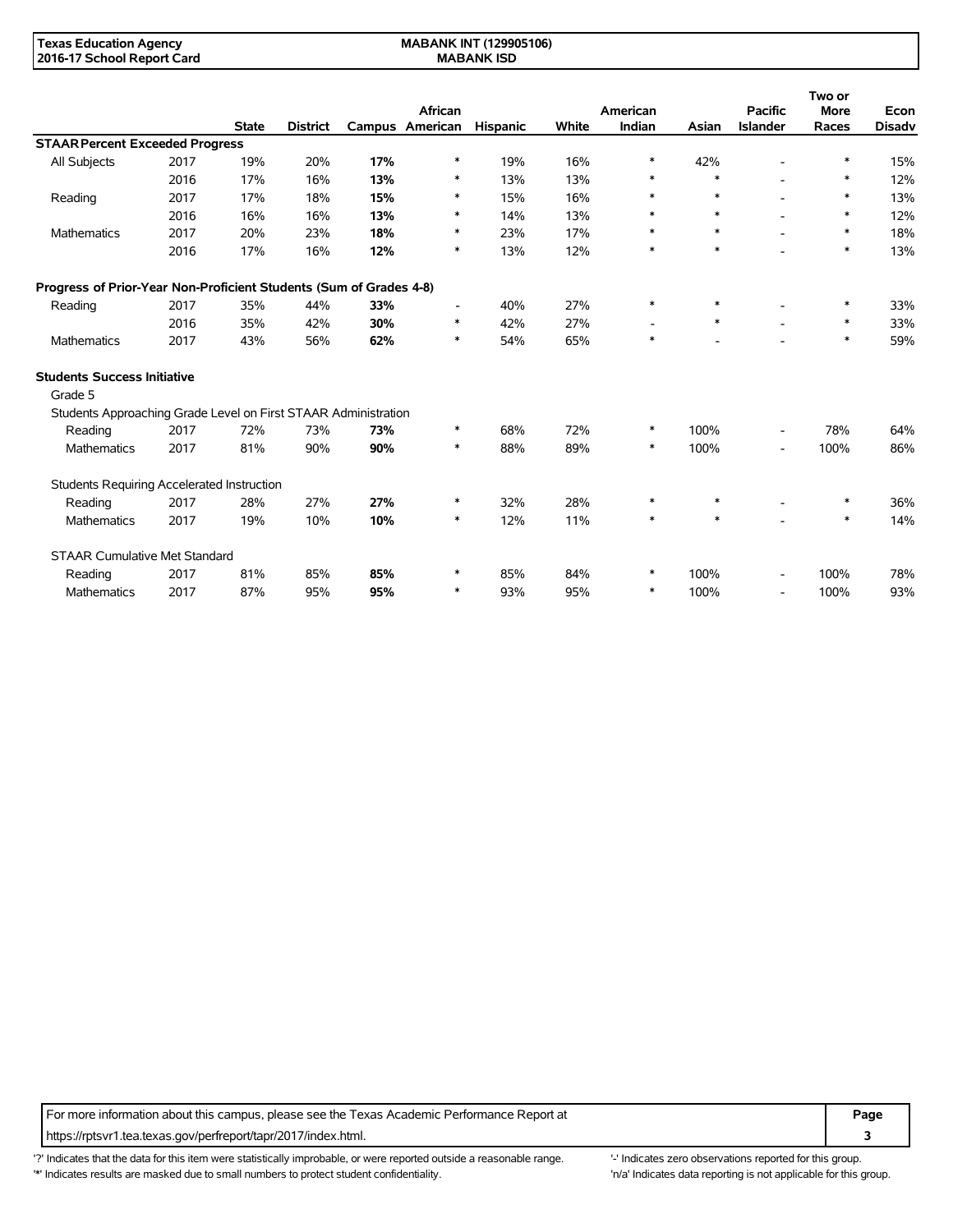**MABANK INT (129905106) MABANK ISD**

|                                                                    |      |              |                 |     |                            |                 |       |                          |        |                                   | Two or               |                       |
|--------------------------------------------------------------------|------|--------------|-----------------|-----|----------------------------|-----------------|-------|--------------------------|--------|-----------------------------------|----------------------|-----------------------|
|                                                                    |      | <b>State</b> | <b>District</b> |     | African<br>Campus American | <b>Hispanic</b> | White | American<br>Indian       | Asian  | <b>Pacific</b><br><b>Islander</b> | <b>More</b><br>Races | Econ<br><b>Disadv</b> |
| <b>STAAR Percent Exceeded Progress</b>                             |      |              |                 |     |                            |                 |       |                          |        |                                   |                      |                       |
| <b>All Subjects</b>                                                | 2017 | 19%          | 20%             | 17% | ∗                          | 19%             | 16%   | ∗                        | 42%    |                                   | *                    | 15%                   |
|                                                                    | 2016 | 17%          | 16%             | 13% | ∗                          | 13%             | 13%   | *                        | $\ast$ |                                   | *                    | 12%                   |
| Reading                                                            | 2017 | 17%          | 18%             | 15% | ∗                          | 15%             | 16%   | ∗                        | $\ast$ |                                   | *                    | 13%                   |
|                                                                    | 2016 | 16%          | 16%             | 13% | $\ast$                     | 14%             | 13%   | $\ast$                   | $\ast$ |                                   | $\ast$               | 12%                   |
| Mathematics                                                        | 2017 | 20%          | 23%             | 18% | ∗                          | 23%             | 17%   | *                        | $\ast$ |                                   | $\ast$               | 18%                   |
|                                                                    | 2016 | 17%          | 16%             | 12% | $\ast$                     | 13%             | 12%   | $\ast$                   | $\ast$ |                                   | $\ast$               | 13%                   |
| Progress of Prior-Year Non-Proficient Students (Sum of Grades 4-8) |      |              |                 |     |                            |                 |       |                          |        |                                   |                      |                       |
| Reading                                                            | 2017 | 35%          | 44%             | 33% | ٠                          | 40%             | 27%   | $\ast$                   | $\ast$ |                                   | $\ast$               | 33%                   |
|                                                                    | 2016 | 35%          | 42%             | 30% | $\ast$                     | 42%             | 27%   | $\overline{\phantom{a}}$ | $\ast$ |                                   | $\ast$               | 33%                   |
| <b>Mathematics</b>                                                 | 2017 | 43%          | 56%             | 62% | $\ast$                     | 54%             | 65%   | $\ast$                   |        |                                   | $\ast$               | 59%                   |
| <b>Students Success Initiative</b>                                 |      |              |                 |     |                            |                 |       |                          |        |                                   |                      |                       |
| Grade 5                                                            |      |              |                 |     |                            |                 |       |                          |        |                                   |                      |                       |
| Students Approaching Grade Level on First STAAR Administration     |      |              |                 |     |                            |                 |       |                          |        |                                   |                      |                       |
| Reading                                                            | 2017 | 72%          | 73%             | 73% | $\ast$                     | 68%             | 72%   | $\ast$                   | 100%   | $\overline{\phantom{a}}$          | 78%                  | 64%                   |
| <b>Mathematics</b>                                                 | 2017 | 81%          | 90%             | 90% | ∗                          | 88%             | 89%   | $\ast$                   | 100%   | $\overline{\phantom{a}}$          | 100%                 | 86%                   |
| Students Requiring Accelerated Instruction                         |      |              |                 |     |                            |                 |       |                          |        |                                   |                      |                       |
| Reading                                                            | 2017 | 28%          | 27%             | 27% | $\ast$                     | 32%             | 28%   | $\ast$                   | $\ast$ |                                   | $\ast$               | 36%                   |
| Mathematics                                                        | 2017 | 19%          | 10%             | 10% | ∗                          | 12%             | 11%   | $\ast$                   | $*$    |                                   | *                    | 14%                   |
| <b>STAAR Cumulative Met Standard</b>                               |      |              |                 |     |                            |                 |       |                          |        |                                   |                      |                       |
| Reading                                                            | 2017 | 81%          | 85%             | 85% | ∗                          | 85%             | 84%   | $\ast$                   | 100%   |                                   | 100%                 | 78%                   |
| Mathematics                                                        | 2017 | 87%          | 95%             | 95% | ∗                          | 93%             | 95%   | ∗                        | 100%   | $\overline{\phantom{a}}$          | 100%                 | 93%                   |

For more information about this campus, please see the Texas Academic Performance Report at **Page Page** https://rptsvr1.tea.texas.gov/perfreport/tapr/2017/index.html. **3**

'?' Indicates that the data for this item were statistically improbable, or were reported outside a reasonable range. "Indicates zero observations reported for this group. '\*' Indicates results are masked due to small numbers to protect student confidentiality. Ma' Indicates data reporting is not applicable for this group.